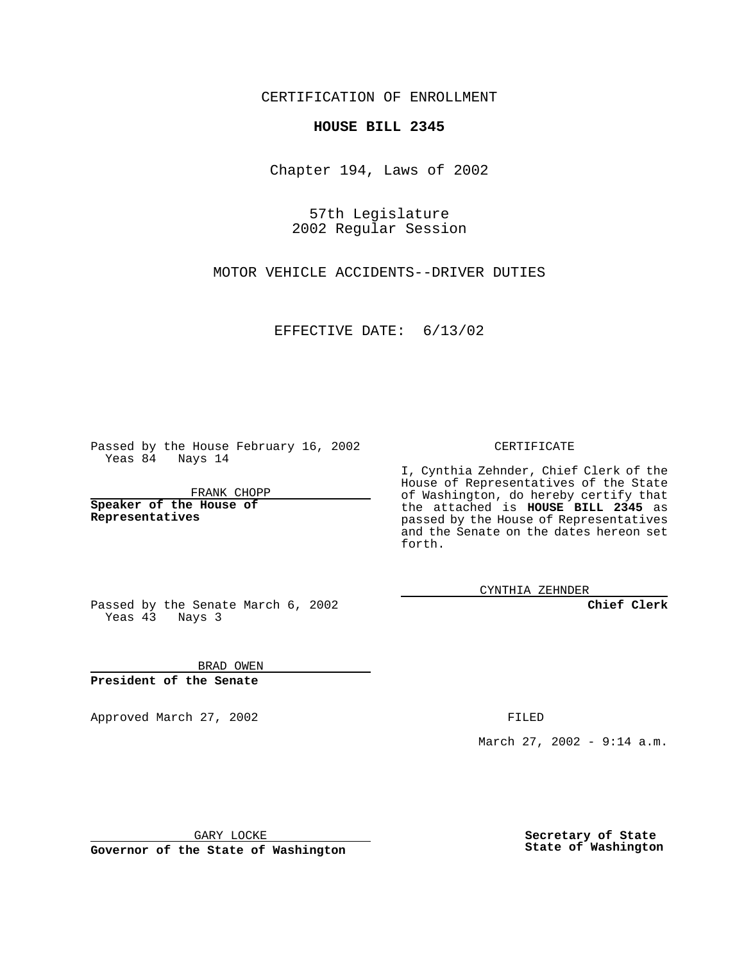CERTIFICATION OF ENROLLMENT

## **HOUSE BILL 2345**

Chapter 194, Laws of 2002

57th Legislature 2002 Regular Session

MOTOR VEHICLE ACCIDENTS--DRIVER DUTIES

EFFECTIVE DATE: 6/13/02

Passed by the House February 16, 2002 Yeas 84 Nays 14

FRANK CHOPP

**Speaker of the House of Representatives**

CERTIFICATE

I, Cynthia Zehnder, Chief Clerk of the House of Representatives of the State of Washington, do hereby certify that the attached is **HOUSE BILL 2345** as passed by the House of Representatives and the Senate on the dates hereon set forth.

CYNTHIA ZEHNDER

**Chief Clerk**

Passed by the Senate March 6, 2002 Yeas 43 Nays 3

BRAD OWEN **President of the Senate**

Approved March 27, 2002 **FILED** 

March 27, 2002 - 9:14 a.m.

GARY LOCKE

**Governor of the State of Washington**

**Secretary of State State of Washington**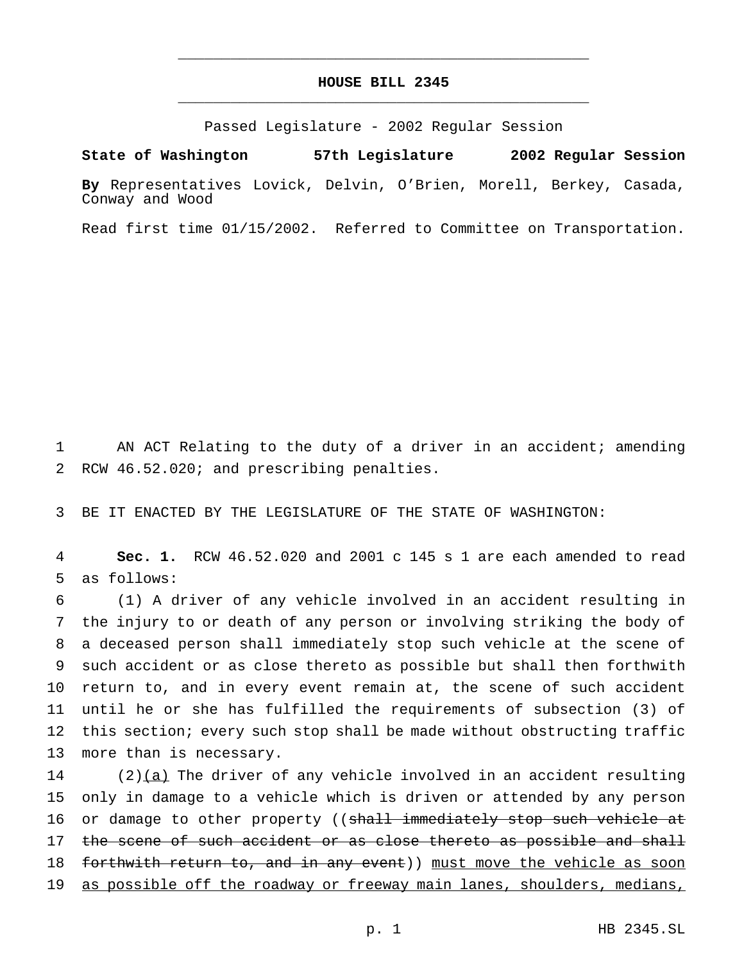## **HOUSE BILL 2345** \_\_\_\_\_\_\_\_\_\_\_\_\_\_\_\_\_\_\_\_\_\_\_\_\_\_\_\_\_\_\_\_\_\_\_\_\_\_\_\_\_\_\_\_\_\_\_

\_\_\_\_\_\_\_\_\_\_\_\_\_\_\_\_\_\_\_\_\_\_\_\_\_\_\_\_\_\_\_\_\_\_\_\_\_\_\_\_\_\_\_\_\_\_\_

Passed Legislature - 2002 Regular Session

**State of Washington 57th Legislature 2002 Regular Session**

**By** Representatives Lovick, Delvin, O'Brien, Morell, Berkey, Casada, Conway and Wood

Read first time 01/15/2002. Referred to Committee on Transportation.

1 AN ACT Relating to the duty of a driver in an accident; amending 2 RCW 46.52.020; and prescribing penalties.

3 BE IT ENACTED BY THE LEGISLATURE OF THE STATE OF WASHINGTON:

4 **Sec. 1.** RCW 46.52.020 and 2001 c 145 s 1 are each amended to read 5 as follows:

 (1) A driver of any vehicle involved in an accident resulting in the injury to or death of any person or involving striking the body of a deceased person shall immediately stop such vehicle at the scene of such accident or as close thereto as possible but shall then forthwith return to, and in every event remain at, the scene of such accident until he or she has fulfilled the requirements of subsection (3) of this section; every such stop shall be made without obstructing traffic more than is necessary.

 $14$  (2)(a) The driver of any vehicle involved in an accident resulting 15 only in damage to a vehicle which is driven or attended by any person 16 or damage to other property ((shall immediately stop such vehicle at 17 the scene of such accident or as close thereto as possible and shall 18 forthwith return to, and in any event)) must move the vehicle as soon 19 as possible off the roadway or freeway main lanes, shoulders, medians,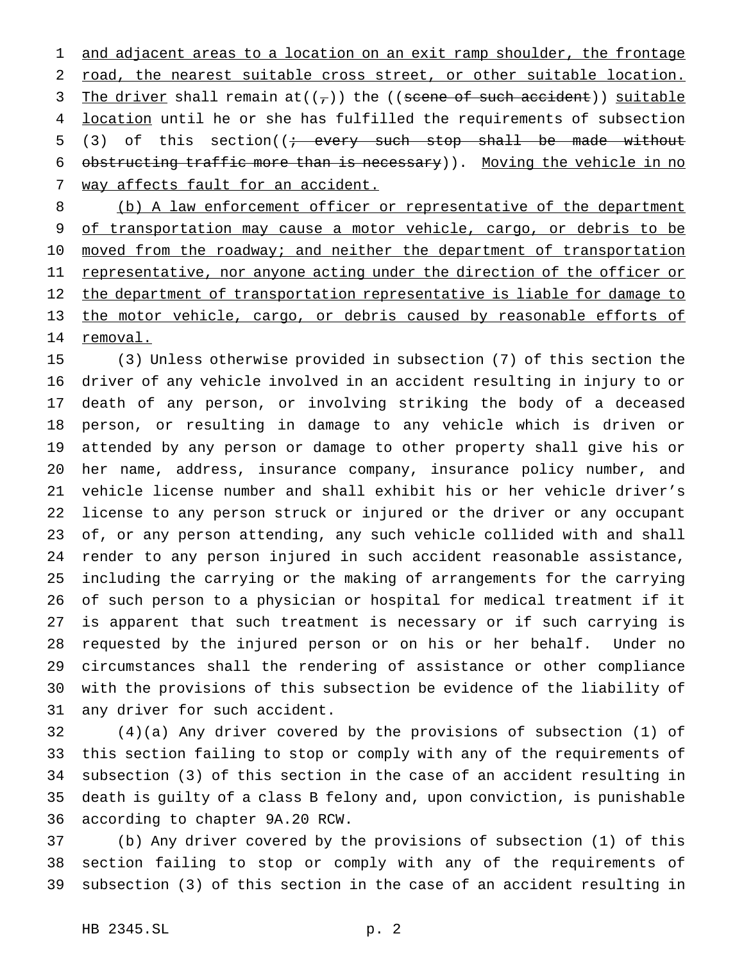1 and adjacent areas to a location on an exit ramp shoulder, the frontage road, the nearest suitable cross street, or other suitable location. 3 The driver shall remain  $at((\tau))$  the ((scene of such accident)) suitable location until he or she has fulfilled the requirements of subsection 5 (3) of this section( $\left(i - \text{every such stop shall be made without}\right)$ 6 obstructing traffic more than is necessary)). Moving the vehicle in no 7 way affects fault for an accident.

 (b) A law enforcement officer or representative of the department 9 of transportation may cause a motor vehicle, cargo, or debris to be 10 moved from the roadway; and neither the department of transportation 11 representative, nor anyone acting under the direction of the officer or 12 the department of transportation representative is liable for damage to 13 the motor vehicle, cargo, or debris caused by reasonable efforts of removal.

 (3) Unless otherwise provided in subsection (7) of this section the driver of any vehicle involved in an accident resulting in injury to or death of any person, or involving striking the body of a deceased person, or resulting in damage to any vehicle which is driven or attended by any person or damage to other property shall give his or her name, address, insurance company, insurance policy number, and vehicle license number and shall exhibit his or her vehicle driver's license to any person struck or injured or the driver or any occupant of, or any person attending, any such vehicle collided with and shall render to any person injured in such accident reasonable assistance, including the carrying or the making of arrangements for the carrying of such person to a physician or hospital for medical treatment if it is apparent that such treatment is necessary or if such carrying is requested by the injured person or on his or her behalf. Under no circumstances shall the rendering of assistance or other compliance with the provisions of this subsection be evidence of the liability of any driver for such accident.

 (4)(a) Any driver covered by the provisions of subsection (1) of this section failing to stop or comply with any of the requirements of subsection (3) of this section in the case of an accident resulting in death is guilty of a class B felony and, upon conviction, is punishable according to chapter 9A.20 RCW.

 (b) Any driver covered by the provisions of subsection (1) of this section failing to stop or comply with any of the requirements of subsection (3) of this section in the case of an accident resulting in